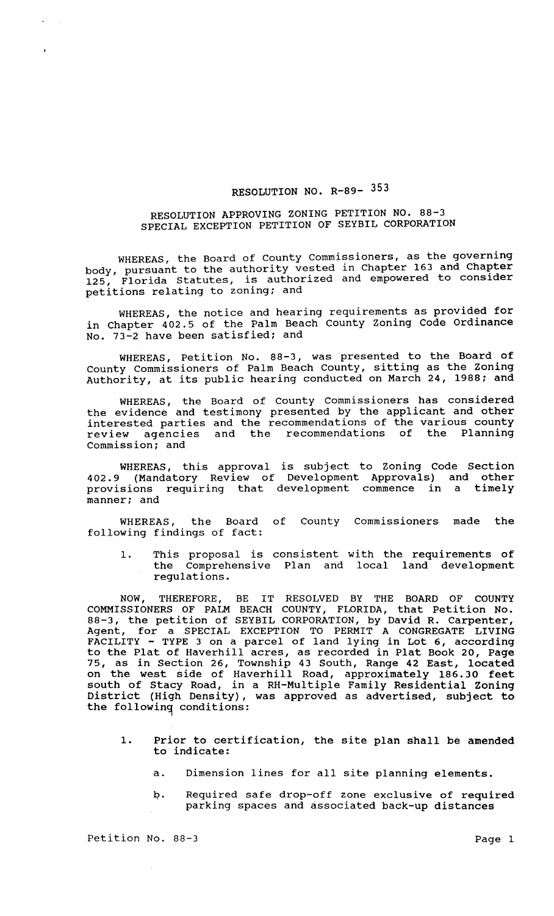## RESOLUTION NO. R-89- 353

## RESOLUTION APPROVING ZONING PETITION NO. 88-3 SPECIAL EXCEPTION PETITION OF SEYBIL CORPORATION

WHEREAS, the Board of County Commissioners, as the governing body, pursuant to the authority vested in Chapter 163 and Chapter 125, Florida Statutes, is authorized and empowered to consider petitions relating to zoning; and

WHEREAS, the notice and hearing requirements as provided for<br>in Chapter 402.5 of the Palm Beach County Zoning Code Ordinance No. 73-2 have been satisfied; and

WHEREAS, Petition No. 88-3, was presented to the Board of County Commissioners of Palm Beach County, sitting as the zoning Authority, at its public hearing conducted on March 24, 1988; and

WHEREAS, the Board of County Commissioners has considered the evidence and testimony presented by the applicant and other interested parties and the recommendations of the various county review agencies and the recommendations of the Planning commission; and

WHEREAS, this approval is subject to Zoning Code Section 402.9 (Mandatory Review of Development Approvals) and other provisions requiring that development commence in a timely manner; and

WHEREAS, the Board of County Commissioners made the following findings of fact:

1. This proposal is consistent with the requirements of the Comprehensive Plan and local land development regulations.

NOW, THEREFORE, BE IT RESOLVED BY THE BOARD OF COUNTY COMMISSIONERS OF PALM BEACH COUNTY, FLORIDA, that Petition No. 88-3, the petition of SEYBIL CORPORATION, by David R. Carpenter, Agent, for a SPECIAL EXCEPTION TO PERMIT A CONGREGATE LIVING FACILITY - TYPE 3 on a parcel of land lying in Lot 6, according to the Plat of Haverhill acres, as recorded in Plat Book 20, Page 75, as in section 26, Township 43 South, Range 42 East, located on the west side of Haverhill Road, approximately 186.30 feet south of Stacy Road, in a RH-Multiple Family Residential Zoning District (High Density), was approved as advertised, subject to the following conditions:

- 1. Prior to certification, the site plan shall be amended to indicate:
	- a. Dimension lines for all site planning elements.
	- p. Required safe drop-off zone exclusive of required parking spaces and associated back-up distances

Petition No. 88-3 Page 1

 $\sim$   $\sim$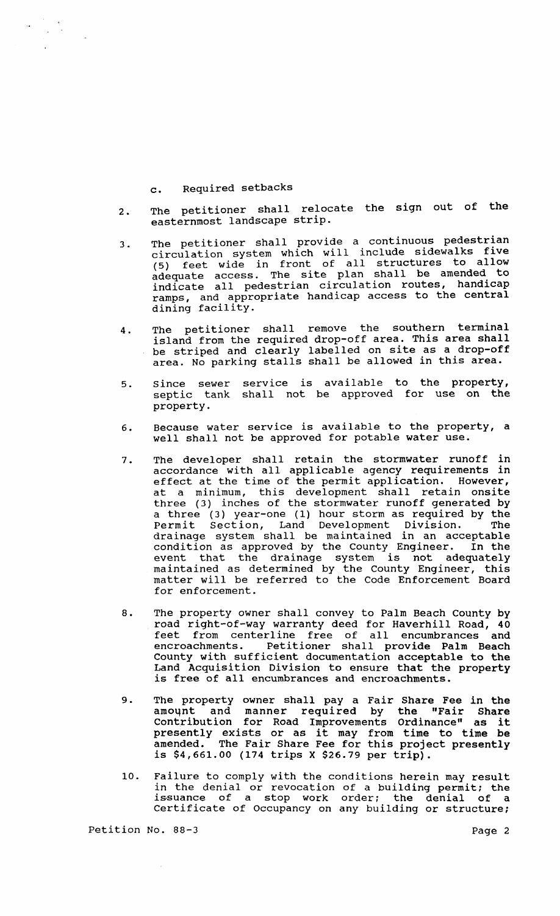## c. Required setbacks

 $\label{eq:2} \frac{1}{\sqrt{2}}\sum_{i=1}^n\frac{1}{\sqrt{2}}\sum_{j=1}^n\frac{1}{j!}\sum_{j=1}^n\frac{1}{j!}\sum_{j=1}^n\frac{1}{j!}\sum_{j=1}^n\frac{1}{j!}\sum_{j=1}^n\frac{1}{j!}\sum_{j=1}^n\frac{1}{j!}\sum_{j=1}^n\frac{1}{j!}\sum_{j=1}^n\frac{1}{j!}\sum_{j=1}^n\frac{1}{j!}\sum_{j=1}^n\frac{1}{j!}\sum_{j=1}^n\frac{1}{j!}\sum_{j=1}^$ 

- 2. The petitioner shall relocate the sign out of the easternmost landscape strip.
- 3. The petitioner shall provide a continuous pedestrian circulation system which will include sidewalks five Siteuration system which will increase allow<br>(5) feet wide in front of all structures to allow adequate access. The site plan shall be amended to indicate all pedestrian circulation routes, handicap ramps, and appropriate handicap access to the central dining facility.
- 4. The petitioner shall remove the southern terminal island from the required drop-off area. This area shall be striped and clearly labelled on site as a drop-off area. No parking stalls shall be allowed in this area.
- 5. since sewer septic tank property. service is available to the property, shall not be approved for use on the
- 6. Because water service is available to the property, a well shall not be approved for potable water use.
- 7. The developer shall retain the stormwater runoff in accordance with all applicable agency requirements in effect at the time of the permit application. However, at a minimum, this development shall retain onsite three (3) inches of the stormwater runoff generated by a three (3) year-one (1) hour storm as required by the Permit section, Land Development Division. The drainage system shall be maintained in an acceptable condition as approved by the County Engineer. In the event that the drainage system is not adequately maintained as determined by the County Engineer, this matter will be referred to the Code Enforcement Board for enforcement.
- 8. The property owner shall convey to Palm Beach County by road right-of-way warranty deed for Haverhill Road, 40 feet from centerline free of all encumbrances and encroachments. Petitioner shall provide Palm Beach County with sufficient documentation acceptable to the Land Acquisition Division to ensure that the property is free of all encumbrances and encroachments.
- 9. The property owner shall pay a Fair Share Fee in the amoqnt and manner required by the "Fair Share contribution for Road Improvements Ordinance" as it presently exists or as it may from time to time be amended. The Fair Share Fee for this project presently difficult. The full bhard red for this project<br>is \$4,661.00 (174 trips X \$26.79 per trip).
- 10. Failure to comply with the conditions herein may result in the denial or revocation of a building permit; the issuance of a stop work order; the denial of a certificate of Occupancy on any building or structure;

Petition No. 88-3 Page 2